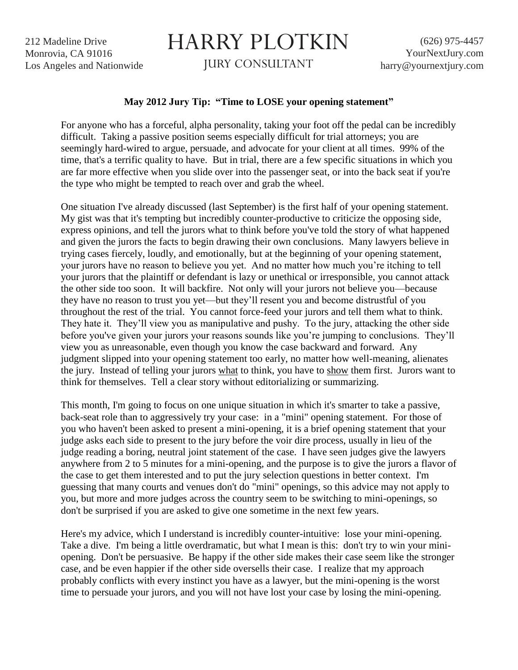212 Madeline Drive Monrovia, CA 91016 Los Angeles and Nationwide

## HARRY PLOTKIN

JURY CONSULTANT

## **May 2012 Jury Tip: "Time to LOSE your opening statement"**

For anyone who has a forceful, alpha personality, taking your foot off the pedal can be incredibly difficult. Taking a passive position seems especially difficult for trial attorneys; you are seemingly hard-wired to argue, persuade, and advocate for your client at all times. 99% of the time, that's a terrific quality to have. But in trial, there are a few specific situations in which you are far more effective when you slide over into the passenger seat, or into the back seat if you're the type who might be tempted to reach over and grab the wheel.

One situation I've already discussed (last September) is the first half of your opening statement. My gist was that it's tempting but incredibly counter-productive to criticize the opposing side, express opinions, and tell the jurors what to think before you've told the story of what happened and given the jurors the facts to begin drawing their own conclusions. Many lawyers believe in trying cases fiercely, loudly, and emotionally, but at the beginning of your opening statement, your jurors have no reason to believe you yet. And no matter how much you're itching to tell your jurors that the plaintiff or defendant is lazy or unethical or irresponsible, you cannot attack the other side too soon. It will backfire. Not only will your jurors not believe you—because they have no reason to trust you yet—but they'll resent you and become distrustful of you throughout the rest of the trial. You cannot force-feed your jurors and tell them what to think. They hate it. They'll view you as manipulative and pushy. To the jury, attacking the other side before you've given your jurors your reasons sounds like you're jumping to conclusions. They'll view you as unreasonable, even though you know the case backward and forward. Any judgment slipped into your opening statement too early, no matter how well-meaning, alienates the jury. Instead of telling your jurors what to think, you have to show them first. Jurors want to think for themselves. Tell a clear story without editorializing or summarizing.

This month, I'm going to focus on one unique situation in which it's smarter to take a passive, back-seat role than to aggressively try your case: in a "mini" opening statement. For those of you who haven't been asked to present a mini-opening, it is a brief opening statement that your judge asks each side to present to the jury before the voir dire process, usually in lieu of the judge reading a boring, neutral joint statement of the case. I have seen judges give the lawyers anywhere from 2 to 5 minutes for a mini-opening, and the purpose is to give the jurors a flavor of the case to get them interested and to put the jury selection questions in better context. I'm guessing that many courts and venues don't do "mini" openings, so this advice may not apply to you, but more and more judges across the country seem to be switching to mini-openings, so don't be surprised if you are asked to give one sometime in the next few years.

Here's my advice, which I understand is incredibly counter-intuitive: lose your mini-opening. Take a dive. I'm being a little overdramatic, but what I mean is this: don't try to win your miniopening. Don't be persuasive. Be happy if the other side makes their case seem like the stronger case, and be even happier if the other side oversells their case. I realize that my approach probably conflicts with every instinct you have as a lawyer, but the mini-opening is the worst time to persuade your jurors, and you will not have lost your case by losing the mini-opening.